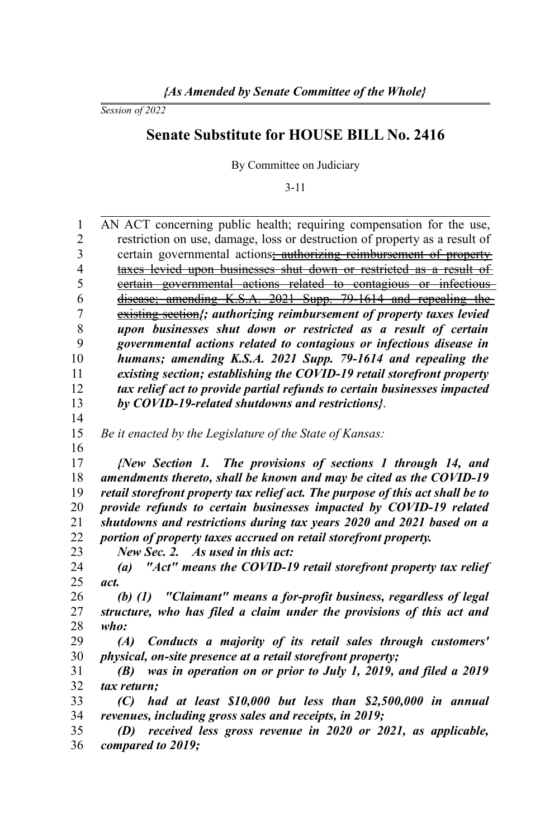*Session of 2022*

## **Senate Substitute for HOUSE BILL No. 2416**

By Committee on Judiciary

3-11

| 1              | AN ACT concerning public health; requiring compensation for the use,               |
|----------------|------------------------------------------------------------------------------------|
| $\overline{2}$ | restriction on use, damage, loss or destruction of property as a result of         |
| 3              | certain governmental actions: authorizing reimbursement of property                |
| $\overline{4}$ | taxes levied upon businesses shut down or restricted as a result of                |
| 5              | eertain governmental actions related to contagious or infectious                   |
| 6              | disease; amending K.S.A. 2021 Supp. 79-1614 and repealing the                      |
| $\overline{7}$ | existing section ;; authorizing reimbursement of property taxes levied             |
| 8              | upon businesses shut down or restricted as a result of certain                     |
| 9              | governmental actions related to contagious or infectious disease in                |
| 10             | humans; amending K.S.A. 2021 Supp. 79-1614 and repealing the                       |
| 11             | existing section; establishing the COVID-19 retail storefront property             |
| 12             | tax relief act to provide partial refunds to certain businesses impacted           |
| 13             | by COVID-19-related shutdowns and restrictions?.                                   |
| 14             |                                                                                    |
| 15             | Be it enacted by the Legislature of the State of Kansas:                           |
| 16             |                                                                                    |
| 17             | {New Section 1. The provisions of sections 1 through 14, and                       |
| 18             | amendments thereto, shall be known and may be cited as the COVID-19                |
| 19             | retail storefront property tax relief act. The purpose of this act shall be to     |
| 20             | provide refunds to certain businesses impacted by COVID-19 related                 |
| 21             | shutdowns and restrictions during tax years 2020 and 2021 based on a               |
| 22<br>23       | portion of property taxes accrued on retail storefront property.                   |
|                | New Sec. 2. As used in this act:                                                   |
| 24<br>25       | "Act" means the COVID-19 retail storefront property tax relief<br>$\left(a\right)$ |
| 26             | act.<br>(b) (1) "Claimant" means a for-profit business, regardless of legal        |
| 27             | structure, who has filed a claim under the provisions of this act and              |
| 28             | who:                                                                               |
| 29             | Conducts a majority of its retail sales through customers'<br>(A)                  |
| 30             | physical, on-site presence at a retail storefront property;                        |
| 31             | was in operation on or prior to July 1, 2019, and filed a 2019<br>(B)              |
| 32             | tax return;                                                                        |
| 33             | had at least \$10,000 but less than \$2,500,000 in annual<br>(C)                   |
| 34             | revenues, including gross sales and receipts, in 2019;                             |
| 35             | received less gross revenue in 2020 or 2021, as applicable,<br>(D)                 |
| 36             | compared to 2019;                                                                  |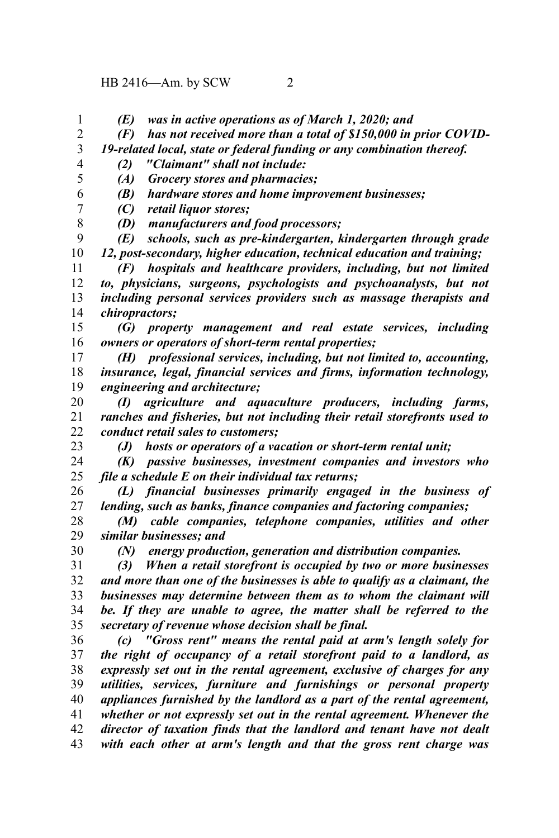- *(E) was in active operations as of March 1, 2020; and* 1
- *(F) has not received more than a total of \$150,000 in prior COVID-*2
- *19-related local, state or federal funding or any combination thereof.* 3
- 4 5

8

*(2) "Claimant" shall not include: (A) Grocery stores and pharmacies;*

- *(B) hardware stores and home improvement businesses;* 6
- *(C) retail liquor stores;* 7
	- *(D) manufacturers and food processors;*

*(E) schools, such as pre-kindergarten, kindergarten through grade 12, post-secondary, higher education, technical education and training;* 9 10

*(F) hospitals and healthcare providers, including, but not limited to, physicians, surgeons, psychologists and psychoanalysts, but not including personal services providers such as massage therapists and chiropractors;* 11 12 13 14

*(G) property management and real estate services, including owners or operators of short-term rental properties;* 15 16

*(H) professional services, including, but not limited to, accounting, insurance, legal, financial services and firms, information technology, engineering and architecture;* 17 18 19

*(I) agriculture and aquaculture producers, including farms, ranches and fisheries, but not including their retail storefronts used to conduct retail sales to customers;* 20 21 22

23

30

*(J) hosts or operators of a vacation or short-term rental unit;*

*(K) passive businesses, investment companies and investors who file a schedule E on their individual tax returns;* 24 25

*(L) financial businesses primarily engaged in the business of lending, such as banks, finance companies and factoring companies;* 26 27

- *(M) cable companies, telephone companies, utilities and other similar businesses; and* 28 29
	- *(N) energy production, generation and distribution companies.*

*(3) When a retail storefront is occupied by two or more businesses and more than one of the businesses is able to qualify as a claimant, the businesses may determine between them as to whom the claimant will be. If they are unable to agree, the matter shall be referred to the secretary of revenue whose decision shall be final.* 31 32 33 34 35

*(c) "Gross rent" means the rental paid at arm's length solely for the right of occupancy of a retail storefront paid to a landlord, as expressly set out in the rental agreement, exclusive of charges for any utilities, services, furniture and furnishings or personal property appliances furnished by the landlord as a part of the rental agreement, whether or not expressly set out in the rental agreement. Whenever the director of taxation finds that the landlord and tenant have not dealt with each other at arm's length and that the gross rent charge was* 36 37 38 39 40 41 42 43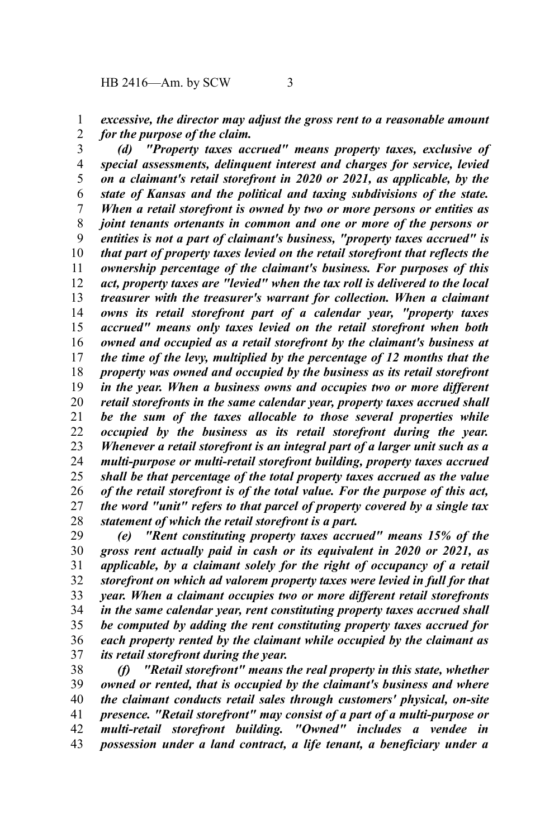*excessive, the director may adjust the gross rent to a reasonable amount for the purpose of the claim.* 1 2

*(d) "Property taxes accrued" means property taxes, exclusive of special assessments, delinquent interest and charges for service, levied on a claimant's retail storefront in 2020 or 2021, as applicable, by the state of Kansas and the political and taxing subdivisions of the state. When a retail storefront is owned by two or more persons or entities as joint tenants ortenants in common and one or more of the persons or entities is not a part of claimant's business, "property taxes accrued" is that part of property taxes levied on the retail storefront that reflects the ownership percentage of the claimant's business. For purposes of this act, property taxes are "levied" when the tax roll is delivered to the local treasurer with the treasurer's warrant for collection. When a claimant owns its retail storefront part of a calendar year, "property taxes accrued" means only taxes levied on the retail storefront when both owned and occupied as a retail storefront by the claimant's business at the time of the levy, multiplied by the percentage of 12 months that the property was owned and occupied by the business as its retail storefront in the year. When a business owns and occupies two or more different retail storefronts in the same calendar year, property taxes accrued shall be the sum of the taxes allocable to those several properties while occupied by the business as its retail storefront during the year. Whenever a retail storefront is an integral part of a larger unit such as a multi-purpose or multi-retail storefront building, property taxes accrued shall be that percentage of the total property taxes accrued as the value of the retail storefront is of the total value. For the purpose of this act, the word "unit" refers to that parcel of property covered by a single tax statement of which the retail storefront is a part.* 3 4 5 6 7 8 9 10 11 12 13 14 15 16 17 18 19 20 21 22 23 24 25 26 27 28

*(e) "Rent constituting property taxes accrued" means 15% of the gross rent actually paid in cash or its equivalent in 2020 or 2021, as applicable, by a claimant solely for the right of occupancy of a retail storefront on which ad valorem property taxes were levied in full for that year. When a claimant occupies two or more different retail storefronts in the same calendar year, rent constituting property taxes accrued shall be computed by adding the rent constituting property taxes accrued for each property rented by the claimant while occupied by the claimant as its retail storefront during the year.* 29 30 31 32 33 34 35 36 37

*(f) "Retail storefront" means the real property in this state, whether owned or rented, that is occupied by the claimant's business and where the claimant conducts retail sales through customers' physical, on-site presence. "Retail storefront" may consist of a part of a multi-purpose or multi-retail storefront building. "Owned" includes a vendee in possession under a land contract, a life tenant, a beneficiary under a* 38 39 40 41 42 43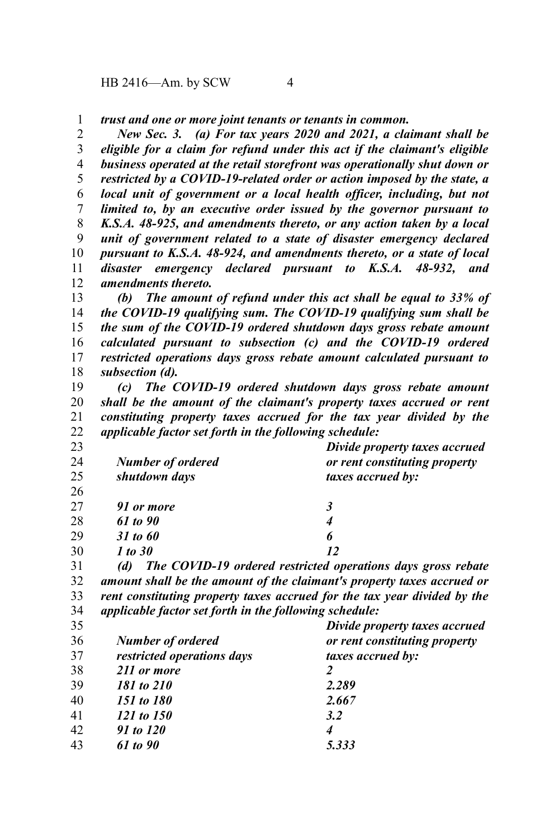HB 2416—Am. by SCW 4

*trust and one or more joint tenants or tenants in common.* 1

*New Sec. 3. (a) For tax years 2020 and 2021, a claimant shall be eligible for a claim for refund under this act if the claimant's eligible business operated at the retail storefront was operationally shut down or restricted by a COVID-19-related order or action imposed by the state, a local unit of government or a local health officer, including, but not limited to, by an executive order issued by the governor pursuant to K.S.A. 48-925, and amendments thereto, or any action taken by a local unit of government related to a state of disaster emergency declared pursuant to K.S.A. 48-924, and amendments thereto, or a state of local disaster emergency declared pursuant to K.S.A. 48-932, and amendments thereto.* 2 3 4 5 6 7 8 9 10 11 12

*(b) The amount of refund under this act shall be equal to 33% of the COVID-19 qualifying sum. The COVID-19 qualifying sum shall be the sum of the COVID-19 ordered shutdown days gross rebate amount calculated pursuant to subsection (c) and the COVID-19 ordered restricted operations days gross rebate amount calculated pursuant to subsection (d).* 13 14 15 16 17 18

*(c) The COVID-19 ordered shutdown days gross rebate amount shall be the amount of the claimant's property taxes accrued or rent constituting property taxes accrued for the tax year divided by the applicable factor set forth in the following schedule:* 19 20 21 22

| 23 |                          | Divide property taxes accrued                                |
|----|--------------------------|--------------------------------------------------------------|
| 24 | <b>Number of ordered</b> | or rent constituting property                                |
| 25 | shutdown days            | <i>taxes accrued by:</i>                                     |
| 26 |                          |                                                              |
| 27 | 91 or more               | 3                                                            |
| 28 | 61 to 90                 | 4                                                            |
| 29 | 31 to 60                 | 6                                                            |
| 30 | 1 to 30                  | 12                                                           |
| 21 | (A)                      | The COVID 10 evident vestwicted energians days gross reports |

*(d) The COVID-19 ordered restricted operations days gross rebate amount shall be the amount of the claimant's property taxes accrued or rent constituting property taxes accrued for the tax year divided by the applicable factor set forth in the following schedule:* 31 32 33 34

| 35 |                            | Divide property taxes accrued |
|----|----------------------------|-------------------------------|
| 36 | <b>Number of ordered</b>   | or rent constituting property |
| 37 | restricted operations days | <i>taxes accrued by:</i>      |
| 38 | 211 or more                |                               |
| 39 | 181 to 210                 | 2.289                         |
| 40 | 151 to 180                 | 2.667                         |
| 41 | 121 to 150                 | 3.2                           |
| 42 | 91 to 120                  | 4                             |
| 43 | 61 to 90                   | 5.333                         |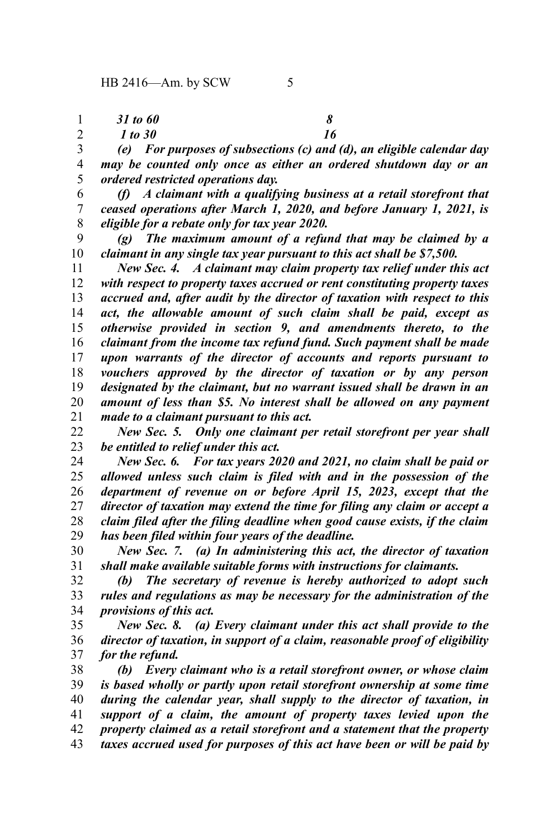*31 to 60 8* 1

*1* to 30 16 2

*(e) For purposes of subsections (c) and (d), an eligible calendar day may be counted only once as either an ordered shutdown day or an ordered restricted operations day.* 3 4 5

*(f) A claimant with a qualifying business at a retail storefront that ceased operations after March 1, 2020, and before January 1, 2021, is eligible for a rebate only for tax year 2020.* 6 7 8

*(g) The maximum amount of a refund that may be claimed by a claimant in any single tax year pursuant to this act shall be \$7,500.* 9 10

*New Sec. 4. A claimant may claim property tax relief under this act with respect to property taxes accrued or rent constituting property taxes accrued and, after audit by the director of taxation with respect to this act, the allowable amount of such claim shall be paid, except as otherwise provided in section 9, and amendments thereto, to the claimant from the income tax refund fund. Such payment shall be made upon warrants of the director of accounts and reports pursuant to vouchers approved by the director of taxation or by any person designated by the claimant, but no warrant issued shall be drawn in an amount of less than \$5. No interest shall be allowed on any payment made to a claimant pursuant to this act.* 11 12 13 14 15 16 17 18 19 20 21

*New Sec. 5. Only one claimant per retail storefront per year shall be entitled to relief under this act.* 22 23

*New Sec. 6. For tax years 2020 and 2021, no claim shall be paid or allowed unless such claim is filed with and in the possession of the department of revenue on or before April 15, 2023, except that the director of taxation may extend the time for filing any claim or accept a claim filed after the filing deadline when good cause exists, if the claim has been filed within four years of the deadline.* 24 25 26 27 28 29

*New Sec. 7. (a) In administering this act, the director of taxation shall make available suitable forms with instructions for claimants.* 30 31

*(b) The secretary of revenue is hereby authorized to adopt such rules and regulations as may be necessary for the administration of the provisions of this act.* 32 33 34

*New Sec. 8. (a) Every claimant under this act shall provide to the director of taxation, in support of a claim, reasonable proof of eligibility for the refund.* 35 36 37

*(b) Every claimant who is a retail storefront owner, or whose claim is based wholly or partly upon retail storefront ownership at some time during the calendar year, shall supply to the director of taxation, in support of a claim, the amount of property taxes levied upon the property claimed as a retail storefront and a statement that the property taxes accrued used for purposes of this act have been or will be paid by* 38 39 40 41 42 43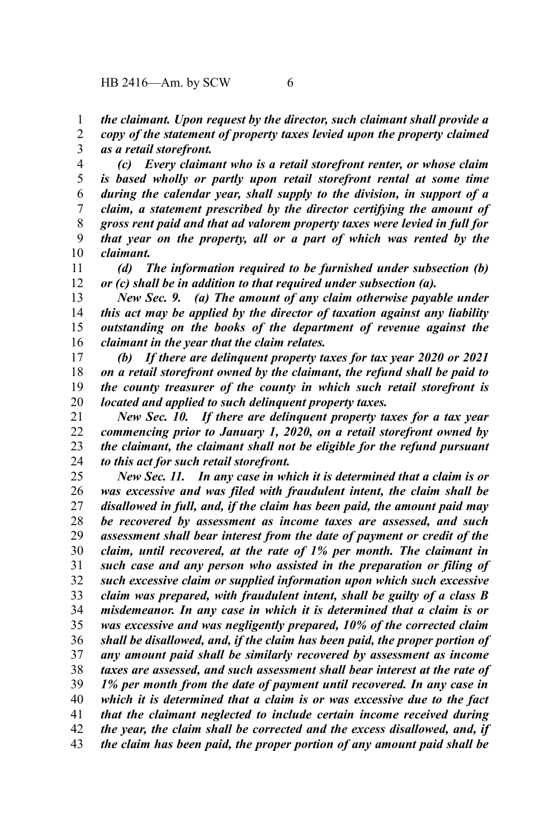*the claimant. Upon request by the director, such claimant shall provide a* 1

*copy of the statement of property taxes levied upon the property claimed as a retail storefront.* 2 3

*(c) Every claimant who is a retail storefront renter, or whose claim is based wholly or partly upon retail storefront rental at some time during the calendar year, shall supply to the division, in support of a claim, a statement prescribed by the director certifying the amount of gross rent paid and that ad valorem property taxes were levied in full for that year on the property, all or a part of which was rented by the claimant.* 4 5 6 7 8 9 10

*(d) The information required to be furnished under subsection (b) or (c) shall be in addition to that required under subsection (a).* 11 12

*New Sec. 9. (a) The amount of any claim otherwise payable under this act may be applied by the director of taxation against any liability outstanding on the books of the department of revenue against the claimant in the year that the claim relates.* 13 14 15 16

*(b) If there are delinquent property taxes for tax year 2020 or 2021 on a retail storefront owned by the claimant, the refund shall be paid to the county treasurer of the county in which such retail storefront is located and applied to such delinquent property taxes.* 17 18 19 20

*New Sec. 10. If there are delinquent property taxes for a tax year commencing prior to January 1, 2020, on a retail storefront owned by the claimant, the claimant shall not be eligible for the refund pursuant to this act for such retail storefront.* 21 22 23 24

*New Sec. 11. In any case in which it is determined that a claim is or was excessive and was filed with fraudulent intent, the claim shall be disallowed in full, and, if the claim has been paid, the amount paid may be recovered by assessment as income taxes are assessed, and such assessment shall bear interest from the date of payment or credit of the claim, until recovered, at the rate of 1% per month. The claimant in such case and any person who assisted in the preparation or filing of such excessive claim or supplied information upon which such excessive claim was prepared, with fraudulent intent, shall be guilty of a class B misdemeanor. In any case in which it is determined that a claim is or was excessive and was negligently prepared, 10% of the corrected claim shall be disallowed, and, if the claim has been paid, the proper portion of any amount paid shall be similarly recovered by assessment as income taxes are assessed, and such assessment shall bear interest at the rate of 1% per month from the date of payment until recovered. In any case in which it is determined that a claim is or was excessive due to the fact that the claimant neglected to include certain income received during the year, the claim shall be corrected and the excess disallowed, and, if the claim has been paid, the proper portion of any amount paid shall be* 25 26 27 28 29 30 31 32 33 34 35 36 37 38 39 40 41 42 43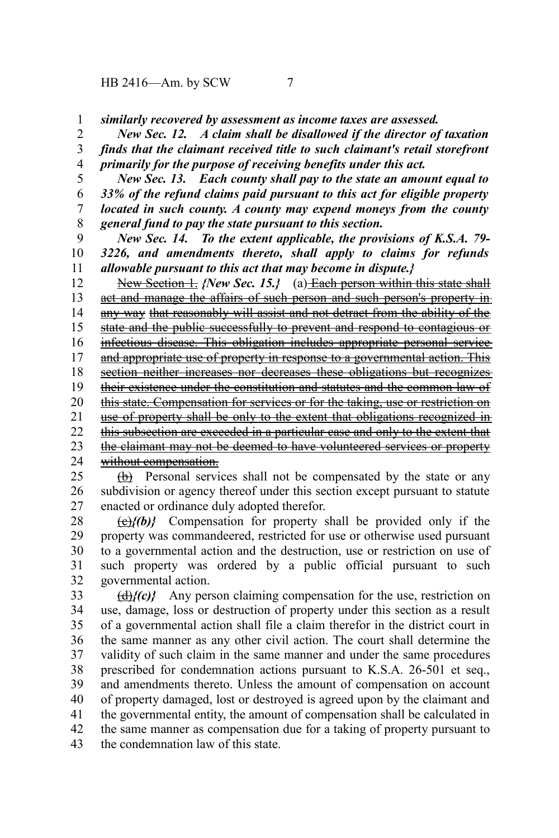HB 2416—Am. by SCW 7

*similarly recovered by assessment as income taxes are assessed.* 1

*New Sec. 12. A claim shall be disallowed if the director of taxation finds that the claimant received title to such claimant's retail storefront primarily for the purpose of receiving benefits under this act.* 2 3 4

*New Sec. 13. Each county shall pay to the state an amount equal to 33% of the refund claims paid pursuant to this act for eligible property located in such county. A county may expend moneys from the county general fund to pay the state pursuant to this section.* 5 6 7 8

*New Sec. 14. To the extent applicable, the provisions of K.S.A. 79- 3226, and amendments thereto, shall apply to claims for refunds allowable pursuant to this act that may become in dispute.}* 9 10 11

New Section 1. *{New Sec. 15.}* (a) Each person within this state shall act and manage the affairs of such person and such person's property in any way that reasonably will assist and not detract from the ability of the state and the public successfully to prevent and respond to contagious or infectious disease. This obligation includes appropriate personal service and appropriate use of property in response to a governmental action. This section neither increases nor decreases these obligations but recognizes their existence under the constitution and statutes and the common law of this state. Compensation for services or for the taking, use or restriction on use of property shall be only to the extent that obligations recognized in this subsection are exceeded in a particular case and only to the extent that the claimant may not be deemed to have volunteered services or property without compensation. 12 13 14 15 16 17 18 19 20 21 22 23 24

(b) Personal services shall not be compensated by the state or any subdivision or agency thereof under this section except pursuant to statute enacted or ordinance duly adopted therefor. 25 26 27

(c)*{(b)}* Compensation for property shall be provided only if the property was commandeered, restricted for use or otherwise used pursuant to a governmental action and the destruction, use or restriction on use of such property was ordered by a public official pursuant to such governmental action. 28 29 30 31 32

(d)*{(c)}* Any person claiming compensation for the use, restriction on use, damage, loss or destruction of property under this section as a result of a governmental action shall file a claim therefor in the district court in the same manner as any other civil action. The court shall determine the validity of such claim in the same manner and under the same procedures prescribed for condemnation actions pursuant to K.S.A. 26-501 et seq., and amendments thereto. Unless the amount of compensation on account of property damaged, lost or destroyed is agreed upon by the claimant and the governmental entity, the amount of compensation shall be calculated in the same manner as compensation due for a taking of property pursuant to the condemnation law of this state. 33 34 35 36 37 38 39 40 41 42 43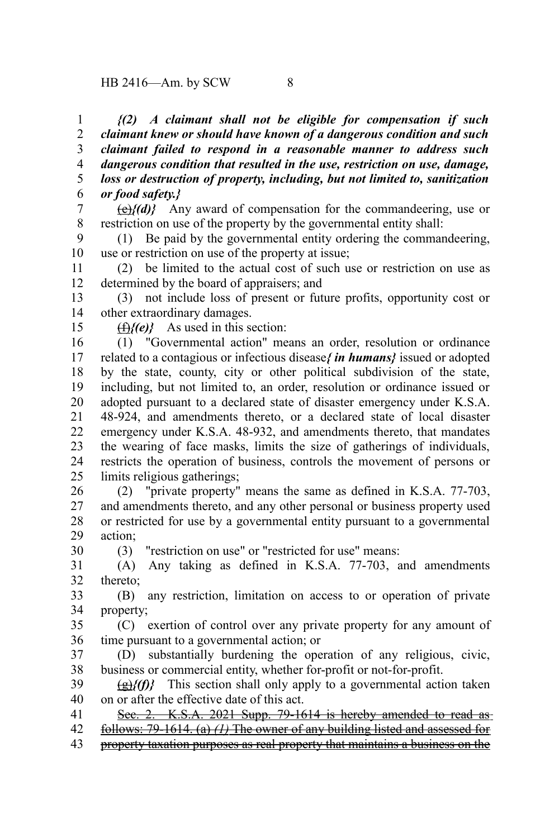*{(2) A claimant shall not be eligible for compensation if such claimant knew or should have known of a dangerous condition and such claimant failed to respond in a reasonable manner to address such dangerous condition that resulted in the use, restriction on use, damage, loss or destruction of property, including, but not limited to, sanitization or food safety.}* 1 2 3 4 5 6

(e)*{(d)}* Any award of compensation for the commandeering, use or restriction on use of the property by the governmental entity shall: 7 8

(1) Be paid by the governmental entity ordering the commandeering, use or restriction on use of the property at issue; 9 10

(2) be limited to the actual cost of such use or restriction on use as determined by the board of appraisers; and 11 12

(3) not include loss of present or future profits, opportunity cost or other extraordinary damages. 13 14

(f)*{(e)}* As used in this section:

15

(1) "Governmental action" means an order, resolution or ordinance related to a contagious or infectious disease*{ in humans}* issued or adopted by the state, county, city or other political subdivision of the state, including, but not limited to, an order, resolution or ordinance issued or adopted pursuant to a declared state of disaster emergency under K.S.A. 48-924, and amendments thereto, or a declared state of local disaster emergency under K.S.A. 48-932, and amendments thereto, that mandates the wearing of face masks, limits the size of gatherings of individuals, restricts the operation of business, controls the movement of persons or limits religious gatherings; 16 17 18 19 20 21 22 23 24 25

(2) "private property" means the same as defined in K.S.A. 77-703, and amendments thereto, and any other personal or business property used or restricted for use by a governmental entity pursuant to a governmental action; 26 27 28 29

(3) "restriction on use" or "restricted for use" means: 30

(A) Any taking as defined in K.S.A. 77-703, and amendments thereto; 31 32

(B) any restriction, limitation on access to or operation of private property; 33 34

(C) exertion of control over any private property for any amount of time pursuant to a governmental action; or 35 36

(D) substantially burdening the operation of any religious, civic, business or commercial entity, whether for-profit or not-for-profit. 37 38

(g)*{(f)}* This section shall only apply to a governmental action taken on or after the effective date of this act. 39 40

Sec. 2. K.S.A. 2021 Supp. 79-1614 is hereby amended to read as-41

 follows: 79-1614. (a) *(1)* The owner of any building listed and assessed for 42

property taxation purposes as real property that maintains a business on the 43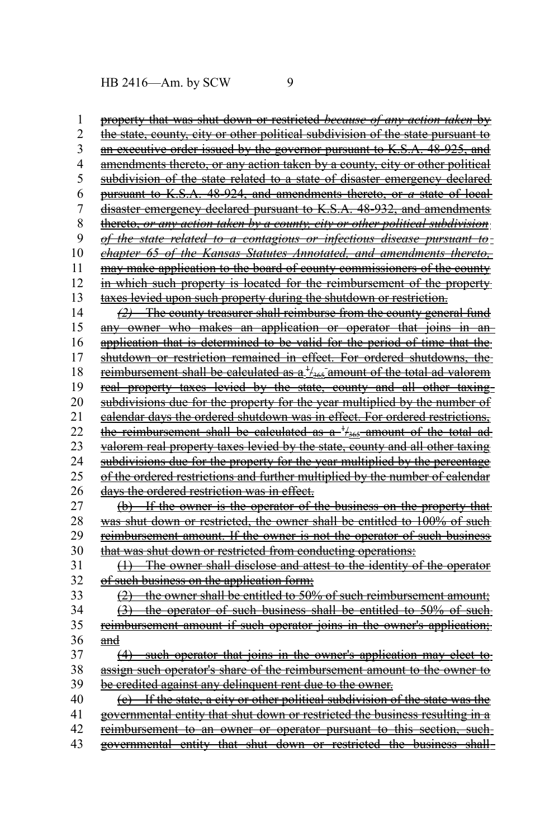HB 2416—Am. by SCW 9

 property that was shut down or restricted *because of any action taken* by the state, county, city or other political subdivision of the state pursuant to an executive order issued by the governor pursuant to K.S.A. 48-925, and amendments thereto, or any action taken by a county, city or other political subdivision of the state related to a state of disaster emergency declared pursuant to K.S.A. 48-924, and amendments thereto, or *a* state of local disaster emergency declared pursuant to K.S.A. 48-932, and amendments thereto, *or any action taken by a county, city or other political subdivision of the state related to a contagious or infectious disease pursuant to chapter 65 of the Kansas Statutes Annotated, and amendments thereto,* may make application to the board of county commissioners of the county in which such property is located for the reimbursement of the property taxes levied upon such property during the shutdown or restriction.  *(2)* The county treasurer shall reimburse from the county general fund any owner who makes an application or operator that joins in anapplication that is determined to be valid for the period of time that the shutdown or restriction remained in effect. For ordered shutdowns, the reimbursement shall be calculated as a <sup>1</sup>/<sub>365</sub> amount of the total ad valorem real property taxes levied by the state, county and all other taxing subdivisions due for the property for the year multiplied by the number of calendar days the ordered shutdown was in effect. For ordered restrictions, the reimbursement shall be calculated as  $a^{-1}/a_{365}$ -amount of the total ad valorem real property taxes levied by the state, county and all other taxing subdivisions due for the property for the year multiplied by the percentage of the ordered restrictions and further multiplied by the number of calendar days the ordered restriction was in effect. (b) If the owner is the operator of the business on the property that was shut down or restricted, the owner shall be entitled to 100% of such reimbursement amount. If the owner is not the operator of such business that was shut down or restricted from conducting operations: (1) The owner shall disclose and attest to the identity of the operator of such business on the application form; (2) the owner shall be entitled to 50% of such reimbursement amount; (3) the operator of such business shall be entitled to 50% of suchreimbursement amount if such operator joins in the owner's application; and (4) such operator that joins in the owner's application may elect to assign such operator's share of the reimbursement amount to the owner to be credited against any delinquent rent due to the owner. (c) If the state, a city or other political subdivision of the state was the governmental entity that shut down or restricted the business resulting in a reimbursement to an owner or operator pursuant to this section, suchgovernmental entity that shut down or restricted the business shall 1 2 3 4 5 6 7 8 9 10 11 12 13 14 15 16 17 18 19 20 21 22 23 24 25 26 27 28 29 30 31 32 33 34 35 36 37 38 39 40 41 42 43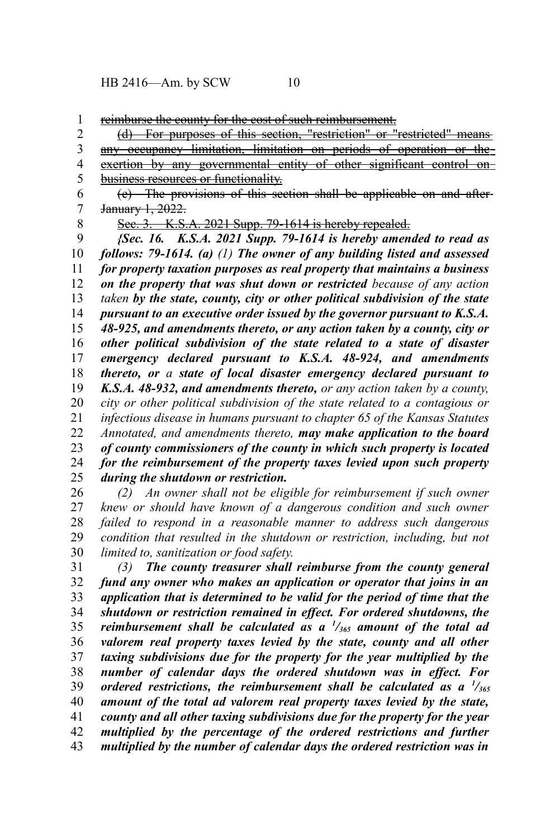reimburse the county for the cost of such reimbursement. 1

(d) For purposes of this section, "restriction" or "restricted" means 2

any occupancy limitation, limitation on periods of operation or the exertion by any governmental entity of other significant control onbusiness resources or functionality. 3 4 5

(e) The provisions of this section shall be applicable on and after January 1, 2022. 6 7

8

Sec. 3. K.S.A. 2021 Supp. 79-1614 is hereby repealed.

*{Sec. 16. K.S.A. 2021 Supp. 79-1614 is hereby amended to read as follows: 79-1614. (a) (1) The owner of any building listed and assessed for property taxation purposes as real property that maintains a business on the property that was shut down or restricted because of any action taken by the state, county, city or other political subdivision of the state pursuant to an executive order issued by the governor pursuant to K.S.A. 48-925, and amendments thereto, or any action taken by a county, city or other political subdivision of the state related to a state of disaster emergency declared pursuant to K.S.A. 48-924, and amendments thereto, or a state of local disaster emergency declared pursuant to K.S.A. 48-932, and amendments thereto, or any action taken by a county, city or other political subdivision of the state related to a contagious or infectious disease in humans pursuant to chapter 65 of the Kansas Statutes Annotated, and amendments thereto, may make application to the board of county commissioners of the county in which such property is located for the reimbursement of the property taxes levied upon such property during the shutdown or restriction.* 9 10 11 12 13 14 15 16 17 18 19 20 21 22 23 24 25

*(2) An owner shall not be eligible for reimbursement if such owner knew or should have known of a dangerous condition and such owner failed to respond in a reasonable manner to address such dangerous condition that resulted in the shutdown or restriction, including, but not limited to, sanitization or food safety.* 26 27 28 29 30

*(3) The county treasurer shall reimburse from the county general fund any owner who makes an application or operator that joins in an application that is determined to be valid for the period of time that the shutdown or restriction remained in effect. For ordered shutdowns, the reimbursement shall be calculated as a <sup>1</sup> /365 amount of the total ad valorem real property taxes levied by the state, county and all other taxing subdivisions due for the property for the year multiplied by the number of calendar days the ordered shutdown was in effect. For ordered restrictions, the reimbursement shall be calculated as a <sup>1</sup> /<sup>365</sup> amount of the total ad valorem real property taxes levied by the state, county and all other taxing subdivisions due for the property for the year multiplied by the percentage of the ordered restrictions and further multiplied by the number of calendar days the ordered restriction was in* 31 32 33 34 35 36 37 38 39 40 41 42 43